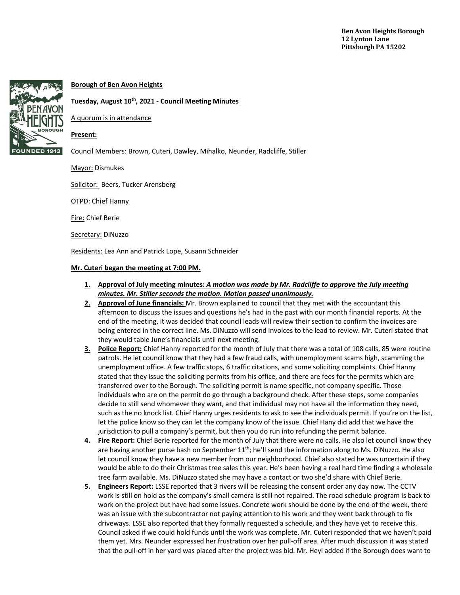

# **Borough of Ben Avon Heights**

## **Tuesday, August 10th, 2021 - Council Meeting Minutes**

A quorum is in attendance

### **Present:**

Council Members: Brown, Cuteri, Dawley, Mihalko, Neunder, Radcliffe, Stiller

Mayor: Dismukes

Solicitor: Beers, Tucker Arensberg

**OTPD: Chief Hanny** 

Fire: Chief Berie

Secretary: DiNuzzo

Residents: Lea Ann and Patrick Lope, Susann Schneider

### **Mr. Cuteri began the meeting at 7:00 PM.**

- **1. Approval of July meeting minutes:** *A motion was made by Mr. Radcliffe to approve the July meeting minutes. Mr. Stiller seconds the motion. Motion passed unanimously.*
- **2. Approval of June financials:** Mr. Brown explained to council that they met with the accountant this afternoon to discuss the issues and questions he's had in the past with our month financial reports. At the end of the meeting, it was decided that council leads will review their section to confirm the invoices are being entered in the correct line. Ms. DiNuzzo will send invoices to the lead to review. Mr. Cuteri stated that they would table June's financials until next meeting.
- **3. Police Report:** Chief Hanny reported for the month of July that there was a total of 108 calls, 85 were routine patrols. He let council know that they had a few fraud calls, with unemployment scams high, scamming the unemployment office. A few traffic stops, 6 traffic citations, and some soliciting complaints. Chief Hanny stated that they issue the soliciting permits from his office, and there are fees for the permits which are transferred over to the Borough. The soliciting permit is name specific, not company specific. Those individuals who are on the permit do go through a background check. After these steps, some companies decide to still send whomever they want, and that individual may not have all the information they need, such as the no knock list. Chief Hanny urges residents to ask to see the individuals permit. If you're on the list, let the police know so they can let the company know of the issue. Chief Hany did add that we have the jurisdiction to pull a company's permit, but then you do run into refunding the permit balance.
- **4. Fire Report:** Chief Berie reported for the month of July that there were no calls. He also let council know they are having another purse bash on September  $11<sup>th</sup>$ ; he'll send the information along to Ms. DiNuzzo. He also let council know they have a new member from our neighborhood. Chief also stated he was uncertain if they would be able to do their Christmas tree sales this year. He's been having a real hard time finding a wholesale tree farm available. Ms. DiNuzzo stated she may have a contact or two she'd share with Chief Berie.
- **5. Engineers Report:** LSSE reported that 3 rivers will be releasing the consent order any day now. The CCTV work is still on hold as the company's small camera is still not repaired. The road schedule program is back to work on the project but have had some issues. Concrete work should be done by the end of the week, there was an issue with the subcontractor not paying attention to his work and they went back through to fix driveways. LSSE also reported that they formally requested a schedule, and they have yet to receive this. Council asked if we could hold funds until the work was complete. Mr. Cuteri responded that we haven't paid them yet. Mrs. Neunder expressed her frustration over her pull-off area. After much discussion it was stated that the pull-off in her yard was placed after the project was bid. Mr. Heyl added if the Borough does want to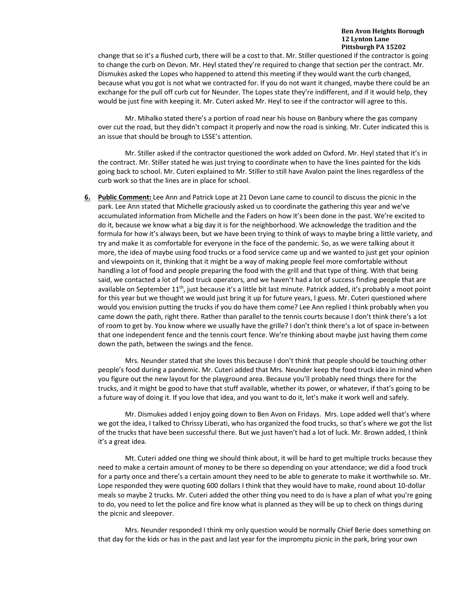change that so it's a flushed curb, there will be a cost to that. Mr. Stiller questioned if the contractor is going to change the curb on Devon. Mr. Heyl stated they're required to change that section per the contract. Mr. Dismukes asked the Lopes who happened to attend this meeting if they would want the curb changed, because what you got is not what we contracted for. If you do not want it changed, maybe there could be an exchange for the pull off curb cut for Neunder. The Lopes state they're indifferent, and if it would help, they would be just fine with keeping it. Mr. Cuteri asked Mr. Heyl to see if the contractor will agree to this.

Mr. Mihalko stated there's a portion of road near his house on Banbury where the gas company over cut the road, but they didn't compact it properly and now the road is sinking. Mr. Cuter indicated this is an issue that should be brough to LSSE's attention.

Mr. Stiller asked if the contractor questioned the work added on Oxford. Mr. Heyl stated that it's in the contract. Mr. Stiller stated he was just trying to coordinate when to have the lines painted for the kids going back to school. Mr. Cuteri explained to Mr. Stiller to still have Avalon paint the lines regardless of the curb work so that the lines are in place for school.

**6. Public Comment:** Lee Ann and Patrick Lope at 21 Devon Lane came to council to discuss the picnic in the park. Lee Ann stated that Michelle graciously asked us to coordinate the gathering this year and we've accumulated information from Michelle and the Faders on how it's been done in the past. We're excited to do it, because we know what a big day it is for the neighborhood. We acknowledge the tradition and the formula for how it's always been, but we have been trying to think of ways to maybe bring a little variety, and try and make it as comfortable for everyone in the face of the pandemic. So, as we were talking about it more, the idea of maybe using food trucks or a food service came up and we wanted to just get your opinion and viewpoints on it, thinking that it might be a way of making people feel more comfortable without handling a lot of food and people preparing the food with the grill and that type of thing. With that being said, we contacted a lot of food truck operators, and we haven't had a lot of success finding people that are available on September  $11<sup>th</sup>$ , just because it's a little bit last minute. Patrick added, it's probably a moot point for this year but we thought we would just bring it up for future years, I guess. Mr. Cuteri questioned where would you envision putting the trucks if you do have them come? Lee Ann replied I think probably when you came down the path, right there. Rather than parallel to the tennis courts because I don't think there's a lot of room to get by. You know where we usually have the grille? I don't think there's a lot of space in-between that one independent fence and the tennis court fence. We're thinking about maybe just having them come down the path, between the swings and the fence.

Mrs. Neunder stated that she loves this because I don't think that people should be touching other people's food during a pandemic. Mr. Cuteri added that Mrs. Neunder keep the food truck idea in mind when you figure out the new layout for the playground area. Because you'll probably need things there for the trucks, and it might be good to have that stuff available, whether its power, or whatever, if that's going to be a future way of doing it. If you love that idea, and you want to do it, let's make it work well and safely.

Mr. Dismukes added I enjoy going down to Ben Avon on Fridays. Mrs. Lope added well that's where we got the idea, I talked to Chrissy Liberati, who has organized the food trucks, so that's where we got the list of the trucks that have been successful there. But we just haven't had a lot of luck. Mr. Brown added, I think it's a great idea.

Mt. Cuteri added one thing we should think about, it will be hard to get multiple trucks because they need to make a certain amount of money to be there so depending on your attendance; we did a food truck for a party once and there's a certain amount they need to be able to generate to make it worthwhile so. Mr. Lope responded they were quoting 600 dollars I think that they would have to make, round about 10-dollar meals so maybe 2 trucks. Mr. Cuteri added the other thing you need to do is have a plan of what you're going to do, you need to let the police and fire know what is planned as they will be up to check on things during the picnic and sleepover.

Mrs. Neunder responded I think my only question would be normally Chief Berie does something on that day for the kids or has in the past and last year for the impromptu picnic in the park, bring your own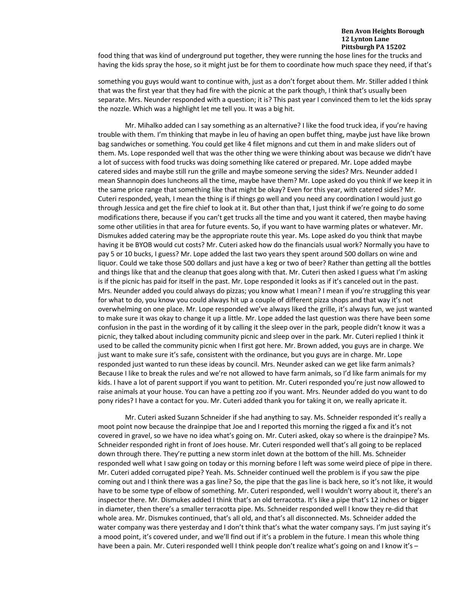#### **Ben Avon Heights Borough 12 Lynton Lane Pittsburgh PA 15202**

food thing that was kind of underground put together, they were running the hose lines for the trucks and having the kids spray the hose, so it might just be for them to coordinate how much space they need, if that's

something you guys would want to continue with, just as a don't forget about them. Mr. Stiller added I think that was the first year that they had fire with the picnic at the park though, I think that's usually been separate. Mrs. Neunder responded with a question; it is? This past year I convinced them to let the kids spray the nozzle. Which was a highlight let me tell you. It was a big hit.

Mr. Mihalko added can I say something as an alternative? I like the food truck idea, if you're having trouble with them. I'm thinking that maybe in leu of having an open buffet thing, maybe just have like brown bag sandwiches or something. You could get like 4 filet mignons and cut them in and make sliders out of them. Ms. Lope responded well that was the other thing we were thinking about was because we didn't have a lot of success with food trucks was doing something like catered or prepared. Mr. Lope added maybe catered sides and maybe still run the grille and maybe someone serving the sides? Mrs. Neunder added I mean Shannopin does luncheons all the time, maybe have them? Mr. Lope asked do you think if we keep it in the same price range that something like that might be okay? Even for this year, with catered sides? Mr. Cuteri responded, yeah, I mean the thing is if things go well and you need any coordination I would just go through Jessica and get the fire chief to look at it. But other than that, I just think if we're going to do some modifications there, because if you can't get trucks all the time and you want it catered, then maybe having some other utilities in that area for future events. So, if you want to have warming plates or whatever. Mr. Dismukes added catering may be the appropriate route this year. Ms. Lope asked do you think that maybe having it be BYOB would cut costs? Mr. Cuteri asked how do the financials usual work? Normally you have to pay 5 or 10 bucks, I guess? Mr. Lope added the last two years they spent around 500 dollars on wine and liquor. Could we take those 500 dollars and just have a keg or two of beer? Rather than getting all the bottles and things like that and the cleanup that goes along with that. Mr. Cuteri then asked I guess what I'm asking is if the picnic has paid for itself in the past. Mr. Lope responded it looks as if it's canceled out in the past. Mrs. Neunder added you could always do pizzas; you know what I mean? I mean if you're struggling this year for what to do, you know you could always hit up a couple of different pizza shops and that way it's not overwhelming on one place. Mr. Lope responded we've always liked the grille, it's always fun, we just wanted to make sure it was okay to change it up a little. Mr. Lope added the last question was there have been some confusion in the past in the wording of it by calling it the sleep over in the park, people didn't know it was a picnic, they talked about including community picnic and sleep over in the park. Mr. Cuteri replied I think it used to be called the community picnic when I first got here. Mr. Brown added, you guys are in charge. We just want to make sure it's safe, consistent with the ordinance, but you guys are in charge. Mr. Lope responded just wanted to run these ideas by council. Mrs. Neunder asked can we get like farm animals? Because I like to break the rules and we're not allowed to have farm animals, so I'd like farm animals for my kids. I have a lot of parent support if you want to petition. Mr. Cuteri responded you're just now allowed to raise animals at your house. You can have a petting zoo if you want. Mrs. Neunder added do you want to do pony rides? I have a contact for you. Mr. Cuteri added thank you for taking it on, we really apricate it.

Mr. Cuteri asked Suzann Schneider if she had anything to say. Ms. Schneider responded it's really a moot point now because the drainpipe that Joe and I reported this morning the rigged a fix and it's not covered in gravel, so we have no idea what's going on. Mr. Cuteri asked, okay so where is the drainpipe? Ms. Schneider responded right in front of Joes house. Mr. Cuteri responded well that's all going to be replaced down through there. They're putting a new storm inlet down at the bottom of the hill. Ms. Schneider responded well what I saw going on today or this morning before I left was some weird piece of pipe in there. Mr. Cuteri added corrugated pipe? Yeah. Ms. Schneider continued well the problem is if you saw the pipe coming out and I think there was a gas line? So, the pipe that the gas line is back here, so it's not like, it would have to be some type of elbow of something. Mr. Cuteri responded, well I wouldn't worry about it, there's an inspector there. Mr. Dismukes added I think that's an old terracotta. It's like a pipe that's 12 inches or bigger in diameter, then there's a smaller terracotta pipe. Ms. Schneider responded well I know they re-did that whole area. Mr. Dismukes continued, that's all old, and that's all disconnected. Ms. Schneider added the water company was there yesterday and I don't think that's what the water company says. I'm just saying it's a mood point, it's covered under, and we'll find out if it's a problem in the future. I mean this whole thing have been a pain. Mr. Cuteri responded well I think people don't realize what's going on and I know it's -